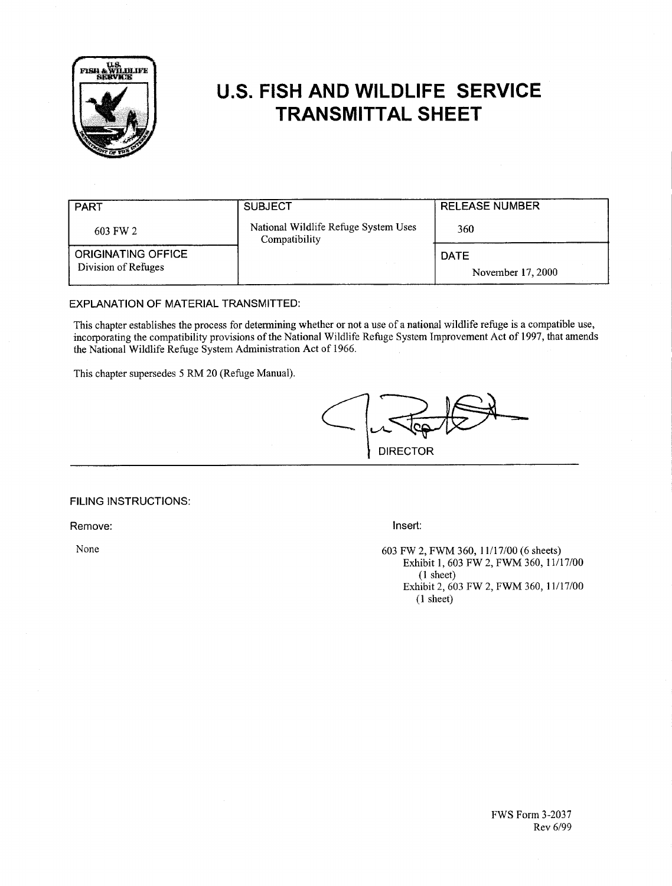

# **U.S. FISH AND WILDLIFE SERVICE TRANSMITTAL SHEET**

| <b>PART</b>                               | <b>SUBJECT</b>                                        | <b>RELEASE NUMBER</b>            |
|-------------------------------------------|-------------------------------------------------------|----------------------------------|
| 603 FW 2                                  | National Wildlife Refuge System Uses<br>Compatibility | 360                              |
| ORIGINATING OFFICE<br>Division of Refuges |                                                       | <b>DATE</b><br>November 17, 2000 |

# EXPLANATION OF MATERIAL TRANSMITTED:

This chapter establishes the process for determining whether or not a use of a national wildlife refuge is a compatible use, incorporating the compatibility provisions of the National Wildlife Refuge System Improvement Act of 1997, that amends the National Wildlife Refuge System Administration Act of 1966.

This chapter supersedes 5 RM 20 (Refuge Manual).



# FILING INSTRUCTIONS:

Remove:

None

Insert:

603 FW 2, FWM 360, 11/17/00 (6 sheets) Exhibit 1, 603 FW 2, FWM 360, 11/17/00  $(1$  sheet) Exhibit 2, 603 FW 2, FWM 360, 11/17/00  $(1$  sheet)

> **FWS Form 3-2037** Rev 6/99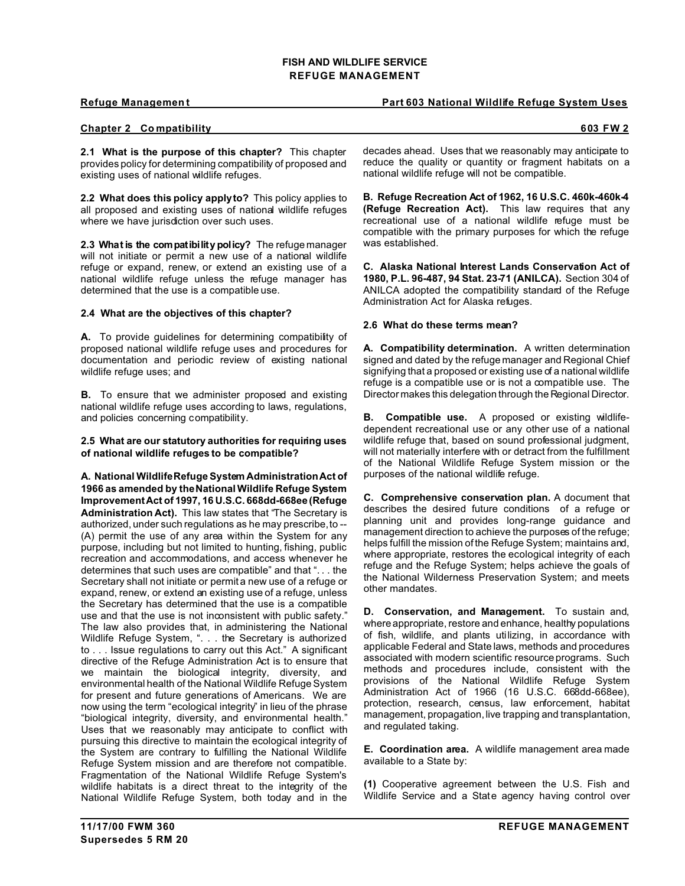# **Refuge Management Part 603 National Wildlife Refuge System Uses**

## **Chapter 2 Co mpatibility 603 FW 2**

**2.1 What is the purpose of this chapter?** This chapter provides policy for determining compatibility of proposed and existing uses of national wildlife refuges.

**2.2 What does this policy apply to?** This policy applies to all proposed and existing uses of national wildlife refuges where we have jurisdiction over such uses.

**2.3 What is the compatibility policy?** The refuge manager will not initiate or permit a new use of a national wildlife refuge or expand, renew, or extend an existing use of a national wildlife refuge unless the refuge manager has determined that the use is a compatible use.

# **2.4 What are the objectives of this chapter?**

**A.** To provide guidelines for determining compatibility of proposed national wildlife refuge uses and procedures for documentation and periodic review of existing national wildlife refuge uses; and

**B.** To ensure that we administer proposed and existing national wildlife refuge uses according to laws, regulations, and policies concerning compatibility.

**2.5 What are our statutory authorities for requiring uses of national wildlife refuges to be compatible?**

**A. National Wildlife Refuge System Administration Act of 1966 as amended by the National Wildlife Refuge System Improvement Act of 1997, 16 U.S.C. 668dd-668ee (Refuge Administration Act).** This law states that "The Secretary is authorized, under such regulations as he may prescribe, to -- (A) permit the use of any area within the System for any purpose, including but not limited to hunting, fishing, public recreation and accommodations, and access whenever he determines that such uses are compatible" and that ". . . the Secretary shall not initiate or permit a new use of a refuge or expand, renew, or extend an existing use of a refuge, unless the Secretary has determined that the use is a compatible use and that the use is not inconsistent with public safety." The law also provides that, in administering the National Wildlife Refuge System, ". . . the Secretary is authorized to . . . Issue regulations to carry out this Act." A significant directive of the Refuge Administration Act is to ensure that we maintain the biological integrity, diversity, and environmental health of the National Wildlife Refuge System for present and future generations of Americans. We are now using the term "ecological integrity" in lieu of the phrase "biological integrity, diversity, and environmental health." Uses that we reasonably may anticipate to conflict with pursuing this directive to maintain the ecological integrity of the System are contrary to fulfilling the National Wildlife Refuge System mission and are therefore not compatible. Fragmentation of the National Wildlife Refuge System's wildlife habitats is a direct threat to the integrity of the National Wildlife Refuge System, both today and in the

decades ahead. Uses that we reasonably may anticipate to reduce the quality or quantity or fragment habitats on a national wildlife refuge will not be compatible.

**B. Refuge Recreation Act of 1962, 16 U.S.C. 460k-460k-4 (Refuge Recreation Act).** This law requires that any recreational use of a national wildlife refuge must be compatible with the primary purposes for which the refuge was established.

**C. Alaska National Interest Lands Conservation Act of 1980, P.L. 96-487, 94 Stat. 23-71 (ANILCA).** Section 304 of ANILCA adopted the compatibility standard of the Refuge Administration Act for Alaska refuges.

#### **2.6 What do these terms mean?**

**A. Compatibility determination.** A written determination signed and dated by the refuge manager and Regional Chief signifying that a proposed or existing use of a national wildlife refuge is a compatible use or is not a compatible use. The Director makes this delegation through the Regional Director.

**B. Compatible use.** A proposed or existing wildlifedependent recreational use or any other use of a national wildlife refuge that, based on sound professional judgment. will not materially interfere with or detract from the fulfillment of the National Wildlife Refuge System mission or the purposes of the national wildlife refuge.

**C. Comprehensive conservation plan.** A document that describes the desired future conditions of a refuge or planning unit and provides long-range guidance and management direction to achieve the purposes of the refuge; helps fulfill the mission of the Refuge System; maintains and, where appropriate, restores the ecological integrity of each refuge and the Refuge System; helps achieve the goals of the National Wilderness Preservation System; and meets other mandates.

**D. Conservation, and Management.** To sustain and, where appropriate, restore and enhance, healthy populations of fish, wildlife, and plants utilizing, in accordance with applicable Federal and State laws, methods and procedures associated with modern scientific resource programs. Such methods and procedures include, consistent with the provisions of the National Wildlife Refuge System Administration Act of 1966 (16 U.S.C. 668dd-668ee), protection, research, census, law enforcement, habitat management, propagation, live trapping and transplantation, and regulated taking.

**E. Coordination area.** A wildlife management area made available to a State by:

**(1)** Cooperative agreement between the U.S. Fish and Wildlife Service and a State agency having control over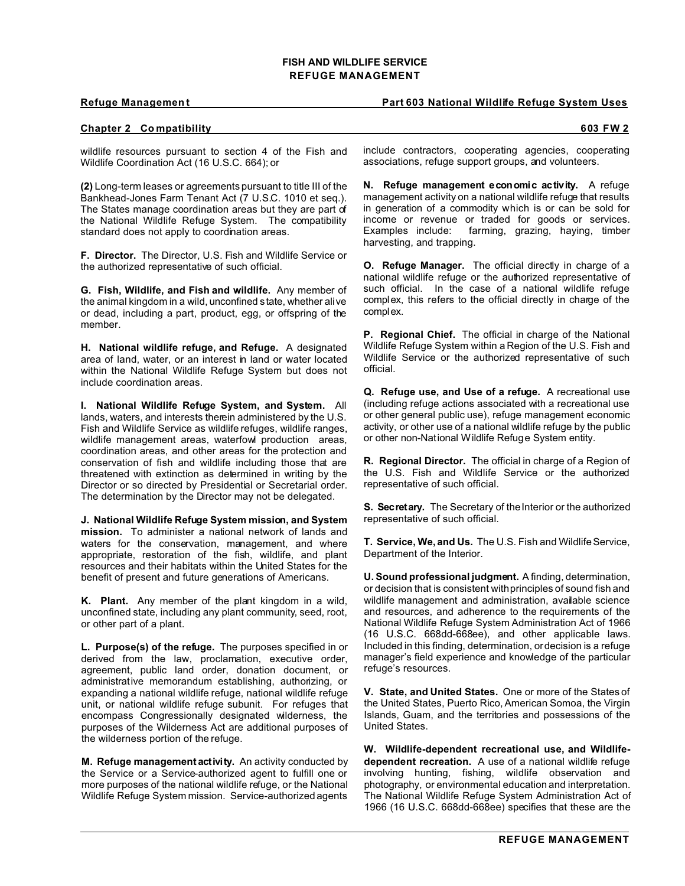### **Refuge Management Part 603 National Wildlife Refuge System Uses**

### **Chapter 2 Co mpatibility 603 FW 2**

wildlife resources pursuant to section 4 of the Fish and Wildlife Coordination Act (16 U.S.C. 664); or

**(2)** Long-term leases or agreements pursuant to title III of the Bankhead-Jones Farm Tenant Act (7 U.S.C. 1010 et seq.). The States manage coordination areas but they are part of the National Wildlife Refuge System. The compatibility standard does not apply to coordination areas.

**F. Director.** The Director, U.S. Fish and Wildlife Service or the authorized representative of such official.

**G. Fish, Wildlife, and Fish and wildlife.** Any member of the animal kingdom in a wild, unconfined state, whether alive or dead, including a part, product, egg, or offspring of the member.

**H. National wildlife refuge, and Refuge.** A designated area of land, water, or an interest in land or water located within the National Wildlife Refuge System but does not include coordination areas.

**I. National Wildlife Refuge System, and System.** All lands, waters, and interests therein administered by the U.S. Fish and Wildlife Service as wildlife refuges, wildlife ranges, wildlife management areas, waterfow production areas, coordination areas, and other areas for the protection and conservation of fish and wildlife including those that are threatened with extinction as determined in writing by the Director or so directed by Presidential or Secretarial order. The determination by the Director may not be delegated.

**J. National Wildlife Refuge System mission, and System mission.** To administer a national network of lands and waters for the conservation, management, and where appropriate, restoration of the fish, wildlife, and plant resources and their habitats within the United States for the benefit of present and future generations of Americans.

**K. Plant.** Any member of the plant kingdom in a wild, unconfined state, including any plant community, seed, root, or other part of a plant.

**L. Purpose(s) of the refuge.** The purposes specified in or derived from the law, proclamation, executive order, agreement, public land order, donation document, or administrative memorandum establishing, authorizing, or expanding a national wildlife refuge, national wildlife refuge unit, or national wildlife refuge subunit. For refuges that encompass Congressionally designated wilderness, the purposes of the Wilderness Act are additional purposes of the wilderness portion of the refuge.

**M. Refuge management activity.** An activity conducted by the Service or a Service-authorized agent to fulfill one or more purposes of the national wildlife refuge, or the National Wildlife Refuge System mission. Service-authorized agents include contractors, cooperating agencies, cooperating associations, refuge support groups, and volunteers.

**N. Refuge management economic activity.** A refuge management activity on a national wildlife refuge that results in generation of a commodity which is or can be sold for income or revenue or traded for goods or services.<br>Examples include: farming, grazing, having, timber farming, grazing, haying, timber harvesting, and trapping.

**O. Refuge Manager.** The official directly in charge of a national wildlife refuge or the authorized representative of such official. In the case of a national wildlife refuge complex, this refers to the official directly in charge of the complex.

**P. Regional Chief.** The official in charge of the National Wildlife Refuge System within a Region of the U.S. Fish and Wildlife Service or the authorized representative of such official.

**Q. Refuge use, and Use of a refuge.** A recreational use (including refuge actions associated with a recreational use or other general public use), refuge management economic activity, or other use of a national wildlife refuge by the public or other non-National Wildlife Refuge System entity.

**R. Regional Director.** The official in charge of a Region of the U.S. Fish and Wildlife Service or the authorized representative of such official.

**S. Secretary.** The Secretary of the Interior or the authorized representative of such official.

**T. Service, We, and Us.** The U.S. Fish and Wildlife Service, Department of the Interior.

**U. Sound professional judgment.** A finding, determination, or decision that is consistent with principles of sound fish and wildlife management and administration, available science and resources, and adherence to the requirements of the National Wildlife Refuge System Administration Act of 1966 (16 U.S.C. 668dd-668ee), and other applicable laws. Included in this finding, determination, or decision is a refuge manager's field experience and knowledge of the particular refuge's resources.

**V. State, and United States.** One or more of the States of the United States, Puerto Rico, American Somoa, the Virgin Islands, Guam, and the territories and possessions of the United States.

**W. Wildlife-dependent recreational use, and Wildlifedependent recreation.** A use of a national wildlife refuge involving hunting, fishing, wildlife observation and photography, or environmental education and interpretation. The National Wildlife Refuge System Administration Act of 1966 (16 U.S.C. 668dd-668ee) specifies that these are the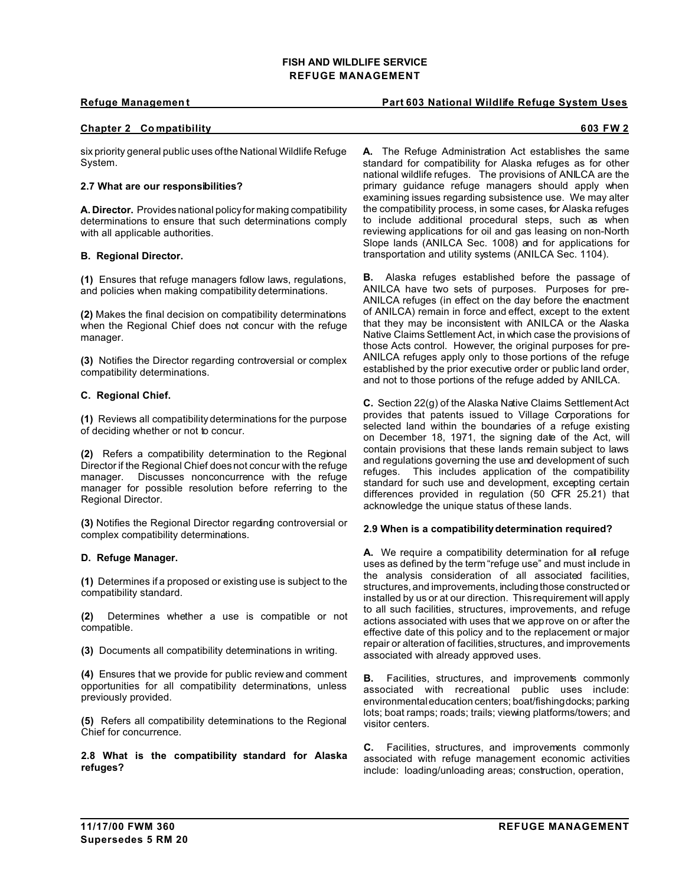# **Refuge Management Part 603 National Wildlife Refuge System Uses**

# **Chapter 2 Co mpatibility 603 FW 2**

six priority general public uses of the National Wildlife Refuge System.

#### **2.7 What are our responsibilities?**

**A. Director.** Provides national policy for making compatibility determinations to ensure that such determinations comply with all applicable authorities.

#### **B. Regional Director.**

**(1)** Ensures that refuge managers follow laws, regulations, and policies when making compatibility determinations.

**(2)** Makes the final decision on compatibility determinations when the Regional Chief does not concur with the refuge manager.

**(3)** Notifies the Director regarding controversial or complex compatibility determinations.

#### **C. Regional Chief.**

**(1)** Reviews all compatibility determinations for the purpose of deciding whether or not to concur.

**(2)** Refers a compatibility determination to the Regional Director if the Regional Chief does not concur with the refuge manager. Discusses nonconcurrence with the refuge manager for possible resolution before referring to the Regional Director.

**(3)** Notifies the Regional Director regarding controversial or complex compatibility determinations.

#### **D. Refuge Manager.**

**(1)** Determines if a proposed or existing use is subject to the compatibility standard.

**(2)** Determines whether a use is compatible or not compatible.

**(3)** Documents all compatibility determinations in writing.

**(4)** Ensures that we provide for public review and comment opportunities for all compatibility determinations, unless previously provided.

**(5)** Refers all compatibility determinations to the Regional Chief for concurrence.

**2.8 What is the compatibility standard for Alaska refuges?**

**A.** The Refuge Administration Act establishes the same standard for compatibility for Alaska refuges as for other national wildlife refuges. The provisions of ANILCA are the primary guidance refuge managers should apply when examining issues regarding subsistence use. We may alter the compatibility process, in some cases, for Alaska refuges to include additional procedural steps, such as when reviewing applications for oil and gas leasing on non-North Slope lands (ANILCA Sec. 1008) and for applications for transportation and utility systems (ANILCA Sec. 1104).

**B.** Alaska refuges established before the passage of ANILCA have two sets of purposes. Purposes for pre-ANILCA refuges (in effect on the day before the enactment of ANILCA) remain in force and effect, except to the extent that they may be inconsistent with ANILCA or the Alaska Native Claims Settlement Act, in which case the provisions of those Acts control. However, the original purposes for pre-ANILCA refuges apply only to those portions of the refuge established by the prior executive order or public land order, and not to those portions of the refuge added by ANILCA.

**C.** Section 22(g) of the Alaska Native Claims Settlement Act provides that patents issued to Village Corporations for selected land within the boundaries of a refuge existing on December 18, 1971, the signing date of the Act, will contain provisions that these lands remain subject to laws and regulations governing the use and development of such refuges. This includes application of the compatibility standard for such use and development, excepting certain differences provided in regulation (50 CFR 25.21) that acknowledge the unique status of these lands.

#### **2.9 When is a compatibility determination required?**

**A.** We require a compatibility determination for all refuge uses as defined by the term "refuge use" and must include in the analysis consideration of all associated facilities, structures, and improvements, including those constructed or installed by us or at our direction. This requirement will apply to all such facilities, structures, improvements, and refuge actions associated with uses that we approve on or after the effective date of this policy and to the replacement or major repair or alteration of facilities, structures, and improvements associated with already approved uses.

**B.** Facilities, structures, and improvements commonly associated with recreational public uses include: environmental education centers; boat/fishing docks; parking lots; boat ramps; roads; trails; viewing platforms/towers; and visitor centers.

**C.** Facilities, structures, and improvements commonly associated with refuge management economic activities include: loading/unloading areas; construction, operation,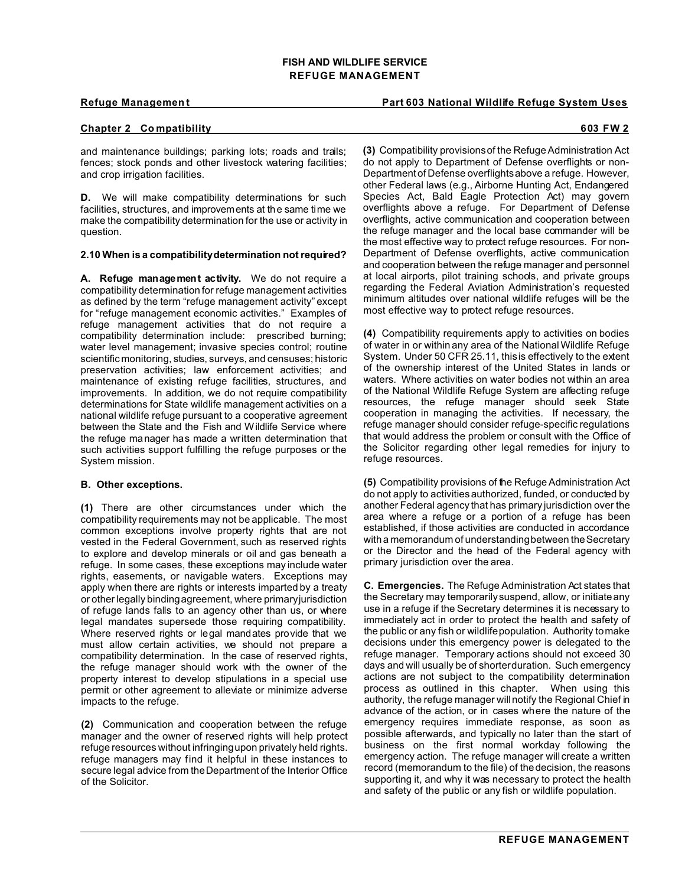### **Refuge Management Part 603 National Wildlife Refuge System Uses**

# **Chapter 2 Co mpatibility 603 FW 2**

and maintenance buildings; parking lots; roads and trails; fences; stock ponds and other livestock watering facilities; and crop irrigation facilities.

**D.** We will make compatibility determinations for such facilities, structures, and improvements at the same time we make the compatibility determination for the use or activity in question.

#### **2.10 When is a compatibility determination not required?**

**A. Refuge management activity.** We do not require a compatibility determination for refuge management activities as defined by the term "refuge management activity" except for "refuge management economic activities." Examples of refuge management activities that do not require a compatibility determination include: prescribed burning; water level management; invasive species control; routine scientific monitoring, studies, surveys, and censuses; historic preservation activities; law enforcement activities; and maintenance of existing refuge facilities, structures, and improvements. In addition, we do not require compatibility determinations for State wildlife management activities on a national wildlife refuge pursuant to a cooperative agreement between the State and the Fish and Wildlife Service where the refuge manager has made a written determination that such activities support fulfilling the refuge purposes or the System mission.

#### **B. Other exceptions.**

**(1)** There are other circumstances under which the compatibility requirements may not be applicable. The most common exceptions involve property rights that are not vested in the Federal Government, such as reserved rights to explore and develop minerals or oil and gas beneath a refuge. In some cases, these exceptions may include water rights, easements, or navigable waters. Exceptions may apply when there are rights or interests imparted by a treaty or other legally binding agreement, where primary jurisdiction of refuge lands falls to an agency other than us, or where legal mandates supersede those requiring compatibility. Where reserved rights or legal mandates provide that we must allow certain activities, we should not prepare a compatibility determination. In the case of reserved rights, the refuge manager should work with the owner of the property interest to develop stipulations in a special use permit or other agreement to alleviate or minimize adverse impacts to the refuge.

**(2)** Communication and cooperation between the refuge manager and the owner of reserved rights will help protect refuge resources without infringing upon privately held rights. refuge managers may find it helpful in these instances to secure legal advice from the Department of the Interior Office of the Solicitor.

**(3)** Compatibility provisions of the Refuge Administration Act do not apply to Department of Defense overflights or non-Department of Defense overflights above a refuge. However, other Federal laws (e.g., Airborne Hunting Act, Endangered Species Act, Bald Eagle Protection Act) may govern overflights above a refuge. For Department of Defense overflights, active communication and cooperation between the refuge manager and the local base commander will be the most effective way to protect refuge resources. For non-Department of Defense overflights, active communication and cooperation between the refuge manager and personnel at local airports, pilot training schools, and private groups regarding the Federal Aviation Administration's requested minimum altitudes over national wildlife refuges will be the most effective way to protect refuge resources.

**(4)** Compatibility requirements apply to activities on bodies of water in or within any area of the National Wildlife Refuge System. Under 50 CFR 25.11, this is effectively to the extent of the ownership interest of the United States in lands or waters. Where activities on water bodies not within an area of the National Wildlife Refuge System are affecting refuge resources, the refuge manager should seek State cooperation in managing the activities. If necessary, the refuge manager should consider refuge-specific regulations that would address the problem or consult with the Office of the Solicitor regarding other legal remedies for injury to refuge resources.

**(5)** Compatibility provisions of the Refuge Administration Act do not apply to activities authorized, funded, or conducted by another Federal agency that has primary jurisdiction over the area where a refuge or a portion of a refuge has been established, if those activities are conducted in accordance with a memorandum of understanding between the Secretary or the Director and the head of the Federal agency with primary jurisdiction over the area.

**C. Emergencies.** The Refuge Administration Act states that the Secretary may temporarily suspend, allow, or initiate any use in a refuge if the Secretary determines it is necessary to immediately act in order to protect the health and safety of the public or any fish or wildlife population. Authority to make decisions under this emergency power is delegated to the refuge manager. Temporary actions should not exceed 30 days and will usually be of shorter duration. Such emergency actions are not subject to the compatibility determination process as outlined in this chapter. When using this authority, the refuge manager will notify the Regional Chief in advance of the action, or in cases where the nature of the emergency requires immediate response, as soon as possible afterwards, and typically no later than the start of business on the first normal workday following the emergency action. The refuge manager will create a written record (memorandum to the file) of the decision, the reasons supporting it, and why it was necessary to protect the health and safety of the public or any fish or wildlife population.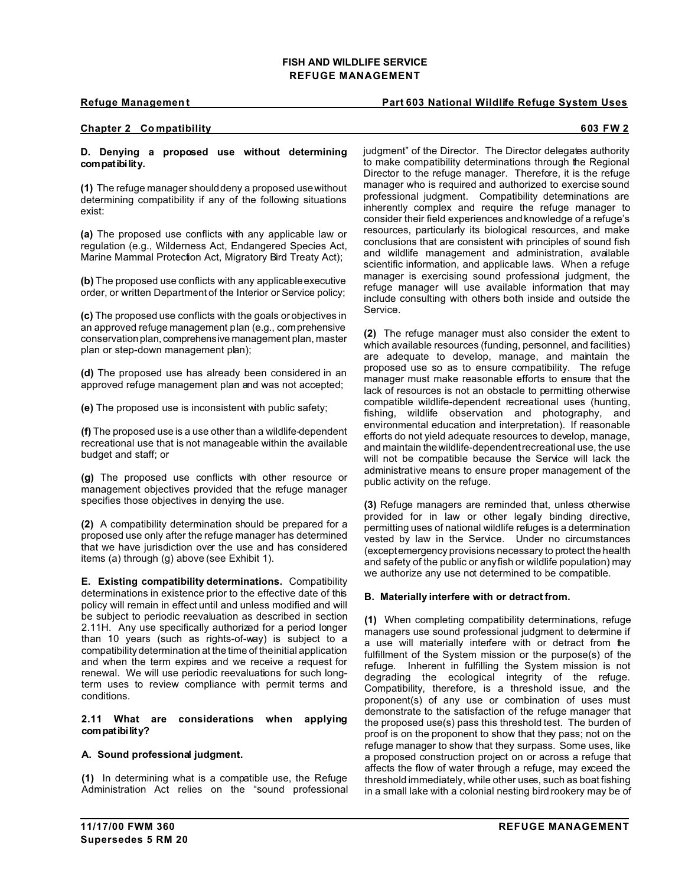### **Refuge Management Part 603 National Wildlife Refuge System Uses**

## **Chapter 2 Co mpatibility 603 FW 2**

### **D. Denying a proposed use without determining compatibility.**

**(1)** The refuge manager should deny a proposed use without determining compatibility if any of the following situations exist:

**(a)** The proposed use conflicts with any applicable law or regulation (e.g., Wilderness Act, Endangered Species Act, Marine Mammal Protection Act, Migratory Bird Treaty Act);

**(b)** The proposed use conflicts with any applicable executive order, or written Department of the Interior or Service policy;

**(c)** The proposed use conflicts with the goals or objectives in an approved refuge management plan (e.g., comprehensive conservation plan, comprehensive management plan, master plan or step-down management plan);

**(d)** The proposed use has already been considered in an approved refuge management plan and was not accepted;

**(e)** The proposed use is inconsistent with public safety;

**(f)** The proposed use is a use other than a wildlife-dependent recreational use that is not manageable within the available budget and staff; or

**(g)** The proposed use conflicts with other resource or management objectives provided that the refuge manager specifies those objectives in denying the use.

**(2)** A compatibility determination should be prepared for a proposed use only after the refuge manager has determined that we have jurisdiction over the use and has considered items (a) through (g) above (see Exhibit 1).

**E. Existing compatibility determinations.** Compatibility determinations in existence prior to the effective date of this policy will remain in effect until and unless modified and will be subject to periodic reevaluation as described in section 2.11H. Any use specifically authorized for a period longer than 10 years (such as rights-of-way) is subject to a compatibility determination at the time of the initial application and when the term expires and we receive a request for renewal. We will use periodic reevaluations for such longterm uses to review compliance with permit terms and conditions.

### **2.11 What are considerations when applying compatibility?**

# **A. Sound professional judgment.**

**(1)** In determining what is a compatible use, the Refuge Administration Act relies on the "sound professional judgment" of the Director. The Director delegates authority to make compatibility determinations through the Regional Director to the refuge manager. Therefore, it is the refuge manager who is required and authorized to exercise sound professional judgment. Compatibility determinations are inherently complex and require the refuge manager to consider their field experiences and knowledge of a refuge's resources, particularly its biological resources, and make conclusions that are consistent with principles of sound fish and wildlife management and administration, available scientific information, and applicable laws. When a refuge manager is exercising sound professional judgment, the refuge manager will use available information that may include consulting with others both inside and outside the Service.

**(2)** The refuge manager must also consider the extent to which available resources (funding, personnel, and facilities) are adequate to develop, manage, and maintain the proposed use so as to ensure compatibility. The refuge manager must make reasonable efforts to ensure that the lack of resources is not an obstacle to permitting otherwise compatible wildlife-dependent recreational uses (hunting, fishing, wildlife observation and photography, and environmental education and interpretation). If reasonable efforts do not yield adequate resources to develop, manage, and maintain the wildlife-dependent recreational use, the use will not be compatible because the Service will lack the administrative means to ensure proper management of the public activity on the refuge.

**(3)** Refuge managers are reminded that, unless otherwise provided for in law or other legally binding directive, permitting uses of national wildlife refuges is a determination vested by law in the Service. Under no circumstances (exceptemergency provisions necessary to protect the health and safety of the public or any fish or wildlife population) may we authorize any use not determined to be compatible.

#### **B. Materially interfere with or detract from.**

**(1)** When completing compatibility determinations, refuge managers use sound professional judgment to determine if a use will materially interfere with or detract from the fulfillment of the System mission or the purpose(s) of the refuge. Inherent in fulfilling the System mission is not degrading the ecological integrity of the refuge. Compatibility, therefore, is a threshold issue, and the proponent(s) of any use or combination of uses must demonstrate to the satisfaction of the refuge manager that the proposed use(s) pass this threshold test. The burden of proof is on the proponent to show that they pass; not on the refuge manager to show that they surpass. Some uses, like a proposed construction project on or across a refuge that affects the flow of water through a refuge, may exceed the threshold immediately, while other uses, such as boat fishing in a small lake with a colonial nesting bird rookery may be of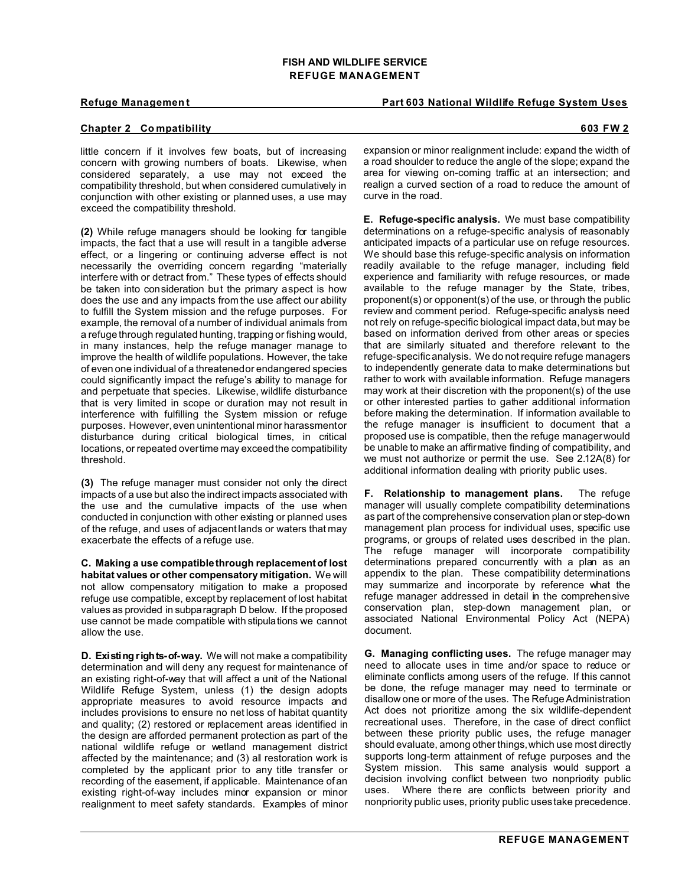#### **Refuge Management Part 603 National Wildlife Refuge System Uses**

## **Chapter 2 Co mpatibility 603 FW 2**

little concern if it involves few boats, but of increasing concern with growing numbers of boats. Likewise, when considered separately, a use may not exceed the compatibility threshold, but when considered cumulatively in conjunction with other existing or planned uses, a use may exceed the compatibility threshold.

**(2)** While refuge managers should be looking for tangible impacts, the fact that a use will result in a tangible adverse effect, or a lingering or continuing adverse effect is not necessarily the overriding concern regarding "materially interfere with or detract from." These types of effects should be taken into consideration but the primary aspect is how does the use and any impacts from the use affect our ability to fulfill the System mission and the refuge purposes. For example, the removal of a number of individual animals from a refuge through regulated hunting, trapping or fishing would, in many instances, help the refuge manager manage to improve the health of wildlife populations. However, the take of even one individual of a threatened or endangered species could significantly impact the refuge's ability to manage for and perpetuate that species. Likewise, wildlife disturbance that is very limited in scope or duration may not result in interference with fulfilling the System mission or refuge purposes. However, even unintentional minor harassment or disturbance during critical biological times, in critical locations, or repeated over time may exceed the compatibility threshold.

**(3)** The refuge manager must consider not only the direct impacts of a use but also the indirect impacts associated with the use and the cumulative impacts of the use when conducted in conjunction with other existing or planned uses of the refuge, and uses of adjacent lands or waters that may exacerbate the effects of a refuge use.

**C. Making a use compatible through replacement of lost habitat values or other compensatory mitigation.** We will not allow compensatory mitigation to make a proposed refuge use compatible, except by replacement of lost habitat values as provided in subparagraph D below. If the proposed use cannot be made compatible with stipulations we cannot allow the use.

**D. Existing rights-of-way.** We will not make a compatibility determination and will deny any request for maintenance of an existing right-of-way that will affect a unit of the National Wildlife Refuge System, unless (1) the design adopts appropriate measures to avoid resource impacts and includes provisions to ensure no net loss of habitat quantity and quality; (2) restored or replacement areas identified in the design are afforded permanent protection as part of the national wildlife refuge or wetland management district affected by the maintenance; and (3) all restoration work is completed by the applicant prior to any title transfer or recording of the easement, if applicable. Maintenance of an existing right-of-way includes minor expansion or minor realignment to meet safety standards. Examples of minor

expansion or minor realignment include: expand the width of a road shoulder to reduce the angle of the slope; expand the area for viewing on-coming traffic at an intersection; and realign a curved section of a road to reduce the amount of curve in the road.

**E. Refuge-specific analysis.** We must base compatibility determinations on a refuge-specific analysis of reasonably anticipated impacts of a particular use on refuge resources. We should base this refuge-specific analysis on information readily available to the refuge manager, including field experience and familiarity with refuge resources, or made available to the refuge manager by the State, tribes, proponent(s) or opponent(s) of the use, or through the public review and comment period. Refuge-specific analysis need not rely on refuge-specific biological impact data, but may be based on information derived from other areas or species that are similarly situated and therefore relevant to the refuge-specific analysis. We do not require refuge managers to independently generate data to make determinations but rather to work with available information. Refuge managers may work at their discretion with the proponent(s) of the use or other interested parties to gather additional information before making the determination. If information available to the refuge manager is insufficient to document that a proposed use is compatible, then the refuge manager would be unable to make an affirmative finding of compatibility, and we must not authorize or permit the use. See 2.12A(8) for additional information dealing with priority public uses.

**F. Relationship to management plans.** The refuge manager will usually complete compatibility determinations as part of the comprehensive conservation plan or step-down management plan process for individual uses, specific use programs, or groups of related uses described in the plan. The refuge manager will incorporate compatibility determinations prepared concurrently with a plan as an appendix to the plan. These compatibility determinations may summarize and incorporate by reference what the refuge manager addressed in detail in the comprehensive conservation plan, step-down management plan, or associated National Environmental Policy Act (NEPA) document.

**G. Managing conflicting uses.** The refuge manager may need to allocate uses in time and/or space to reduce or eliminate conflicts among users of the refuge. If this cannot be done, the refuge manager may need to terminate or disallow one or more of the uses. The Refuge Administration Act does not prioritize among the six wildlife-dependent recreational uses. Therefore, in the case of direct conflict between these priority public uses, the refuge manager should evaluate, among other things, which use most directly supports long-term attainment of refuge purposes and the System mission. This same analysis would support a decision involving conflict between two nonpriority public uses. Where there are conflicts between priority and nonpriority public uses, priority public uses take precedence.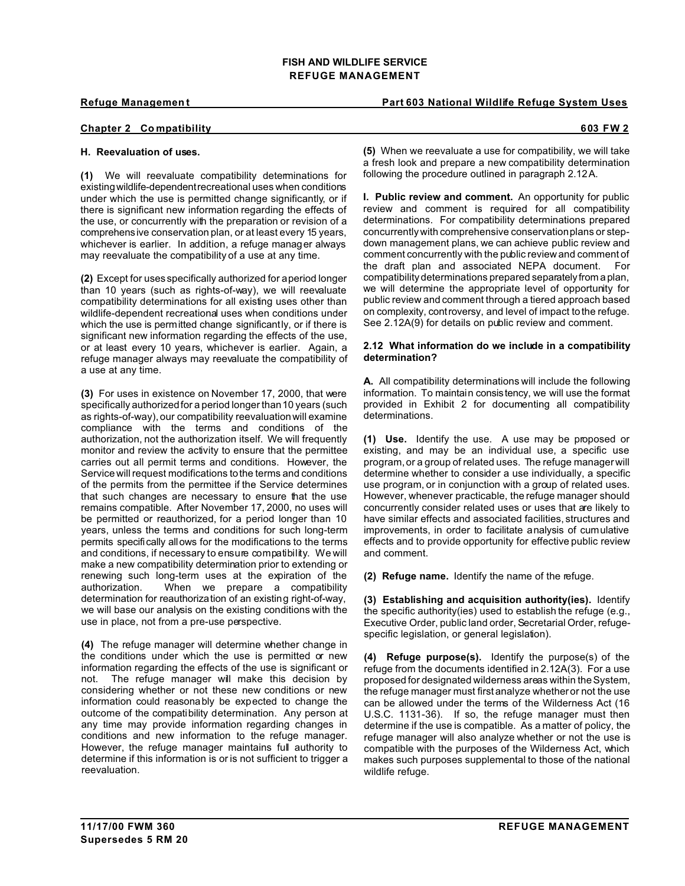**Refuge Management Part 603 National Wildlife Refuge System Uses** 

# **Chapter 2 Co mpatibility 603 FW 2**

# **H. Reevaluation of uses.**

**(1)** We will reevaluate compatibility determinations for existingwildlife-dependent recreational uses when conditions under which the use is permitted change significantly, or if there is significant new information regarding the effects of the use, or concurrently with the preparation or revision of a comprehensive conservation plan, or at least every 15 years, whichever is earlier. In addition, a refuge manager always may reevaluate the compatibility of a use at any time.

**(2)** Except for uses specifically authorized for a period longer than 10 years (such as rights-of-way), we will reevaluate compatibility determinations for all existing uses other than wildlife-dependent recreational uses when conditions under which the use is permitted change significantly, or if there is significant new information regarding the effects of the use, or at least every 10 years, whichever is earlier. Again, a refuge manager always may reevaluate the compatibility of a use at any time.

**(3)** For uses in existence on November 17, 2000, that were specifically authorized for a period longer than 10 years (such as rights-of-way), our compatibility reevaluation will examine compliance with the terms and conditions of the authorization, not the authorization itself. We will frequently monitor and review the activity to ensure that the permittee carries out all permit terms and conditions. However, the Service will request modifications to the terms and conditions of the permits from the permittee if the Service determines that such changes are necessary to ensure that the use remains compatible. After November 17, 2000, no uses will be permitted or reauthorized, for a period longer than 10 years, unless the terms and conditions for such long-term permits specifically allows for the modifications to the terms and conditions, if necessary to ensure compatibility. We will make a new compatibility determination prior to extending or renewing such long-term uses at the expiration of the authorization. When we prepare a compatibility determination for reauthorization of an existing right-of-way, we will base our analysis on the existing conditions with the use in place, not from a pre-use perspective.

**(4)** The refuge manager will determine whether change in the conditions under which the use is permitted or new information regarding the effects of the use is significant or not. The refuge manager will make this decision by considering whether or not these new conditions or new information could reasonably be expected to change the outcome of the compatibility determination. Any person at any time may provide information regarding changes in conditions and new information to the refuge manager. However, the refuge manager maintains full authority to determine if this information is or is not sufficient to trigger a reevaluation.

**(5)** When we reevaluate a use for compatibility, we will take a fresh look and prepare a new compatibility determination following the procedure outlined in paragraph 2.12A.

**I. Public review and comment.** An opportunity for public review and comment is required for all compatibility determinations. For compatibility determinations prepared concurrently with comprehensive conservation plans or stepdown management plans, we can achieve public review and comment concurrently with the public review and comment of the draft plan and associated NEPA document. For compatibility determinations prepared separately from a plan, we will determine the appropriate level of opportunity for public review and comment through a tiered approach based on complexity, controversy, and level of impact to the refuge. See 2.12A(9) for details on public review and comment.

### **2.12 What information do we include in a compatibility determination?**

**A.** All compatibility determinations will include the following information. To maintain consistency, we will use the format provided in Exhibit 2 for documenting all compatibility determinations.

**(1) Use.** Identify the use. A use may be proposed or existing, and may be an individual use, a specific use program, or a group of related uses. The refuge manager will determine whether to consider a use individually, a specific use program, or in conjunction with a group of related uses. However, whenever practicable, the refuge manager should concurrently consider related uses or uses that are likely to have similar effects and associated facilities, structures and improvements, in order to facilitate analysis of cumulative effects and to provide opportunity for effective public review and comment.

**(2) Refuge name.** Identify the name of the refuge.

**(3) Establishing and acquisition authority(ies).** Identify the specific authority(ies) used to establish the refuge (e.g., Executive Order, public land order, Secretarial Order, refugespecific legislation, or general legislation).

**(4) Refuge purpose(s).** Identify the purpose(s) of the refuge from the documents identified in 2.12A(3). For a use proposed for designated wilderness areas within the System, the refuge manager must first analyze whether or not the use can be allowed under the terms of the Wilderness Act (16 U.S.C. 1131-36). If so, the refuge manager must then determine if the use is compatible. As a matter of policy, the refuge manager will also analyze whether or not the use is compatible with the purposes of the Wilderness Act, which makes such purposes supplemental to those of the national wildlife refuge.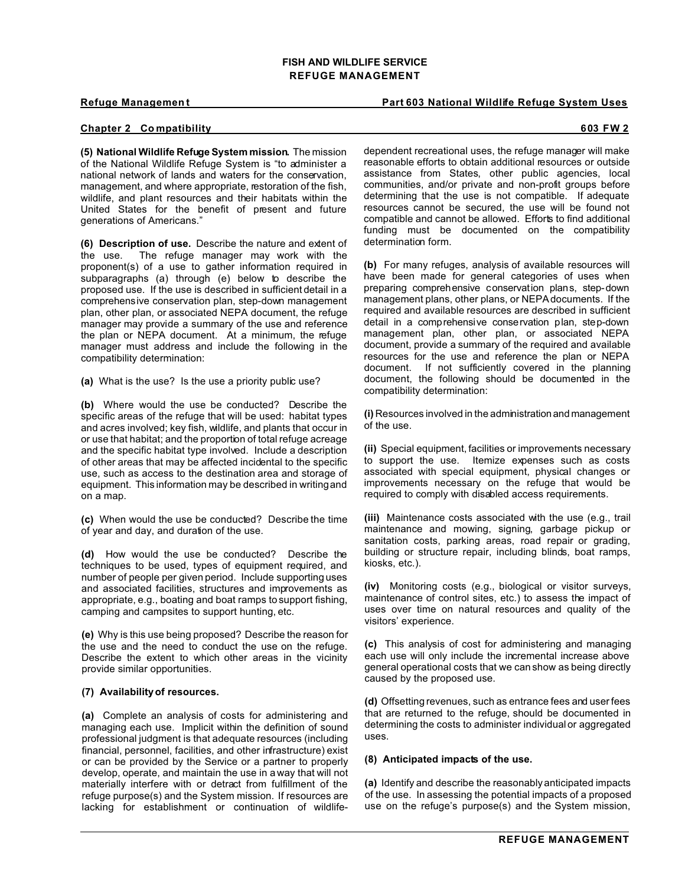### **Refuge Management Part 603 National Wildlife Refuge System Uses**

# **Chapter 2 Co mpatibility 603 FW 2**

**(5) National Wildlife Refuge System mission.** The mission of the National Wildlife Refuge System is "to administer a national network of lands and waters for the conservation, management, and where appropriate, restoration of the fish, wildlife, and plant resources and their habitats within the United States for the benefit of present and future generations of Americans."

**(6) Description of use.** Describe the nature and extent of the use. The refuge manager may work with the proponent(s) of a use to gather information required in subparagraphs (a) through (e) below to describe the proposed use. If the use is described in sufficient detail in a comprehensive conservation plan, step-down management plan, other plan, or associated NEPA document, the refuge manager may provide a summary of the use and reference the plan or NEPA document. At a minimum, the refuge manager must address and include the following in the compatibility determination:

**(a)** What is the use? Is the use a priority public use?

**(b)** Where would the use be conducted? Describe the specific areas of the refuge that will be used: habitat types and acres involved; key fish, wildlife, and plants that occur in or use that habitat; and the proportion of total refuge acreage and the specific habitat type involved. Include a description of other areas that may be affected incidental to the specific use, such as access to the destination area and storage of equipment. This information may be described in writing and on a map.

**(c)** When would the use be conducted? Describe the time of year and day, and duration of the use.

**(d)** How would the use be conducted? Describe the techniques to be used, types of equipment required, and number of people per given period. Include supporting uses and associated facilities, structures and improvements as appropriate, e.g., boating and boat ramps to support fishing, camping and campsites to support hunting, etc.

**(e)** Why is this use being proposed? Describe the reason for the use and the need to conduct the use on the refuge. Describe the extent to which other areas in the vicinity provide similar opportunities.

#### **(7) Availability of resources.**

**(a)** Complete an analysis of costs for administering and managing each use. Implicit within the definition of sound professional judgment is that adequate resources (including financial, personnel, facilities, and other infrastructure) exist or can be provided by the Service or a partner to properly develop, operate, and maintain the use in a way that will not materially interfere with or detract from fulfillment of the refuge purpose(s) and the System mission. If resources are lacking for establishment or continuation of wildlife-

dependent recreational uses, the refuge manager will make reasonable efforts to obtain additional resources or outside assistance from States, other public agencies, local communities, and/or private and non-profit groups before determining that the use is not compatible. If adequate resources cannot be secured, the use will be found not compatible and cannot be allowed. Efforts to find additional funding must be documented on the compatibility determination form.

**(b)** For many refuges, analysis of available resources will have been made for general categories of uses when preparing comprehensive conservation plans, step-down management plans, other plans, or NEPA documents. If the required and available resources are described in sufficient detail in a comprehensive conservation plan, step-down management plan, other plan, or associated NEPA document, provide a summary of the required and available resources for the use and reference the plan or NEPA document. If not sufficiently covered in the planning document, the following should be documented in the compatibility determination:

**(i)** Resources involved in the administrationand management of the use.

**(ii)** Special equipment, facilities or improvements necessary to support the use. Itemize expenses such as costs associated with special equipment, physical changes or improvements necessary on the refuge that would be required to comply with disabled access requirements.

**(iii)** Maintenance costs associated with the use (e.g., trail maintenance and mowing, signing, garbage pickup or sanitation costs, parking areas, road repair or grading, building or structure repair, including blinds, boat ramps, kiosks, etc.).

**(iv)** Monitoring costs (e.g., biological or visitor surveys, maintenance of control sites, etc.) to assess the impact of uses over time on natural resources and quality of the visitors' experience.

**(c)** This analysis of cost for administering and managing each use will only include the incremental increase above general operational costs that we can show as being directly caused by the proposed use.

**(d)** Offsetting revenues, such as entrance fees and user fees that are returned to the refuge, should be documented in determining the costs to administer individual or aggregated uses.

#### **(8) Anticipated impacts of the use.**

**(a)** Identify and describe the reasonably anticipated impacts of the use. In assessing the potential impacts of a proposed use on the refuge's purpose(s) and the System mission,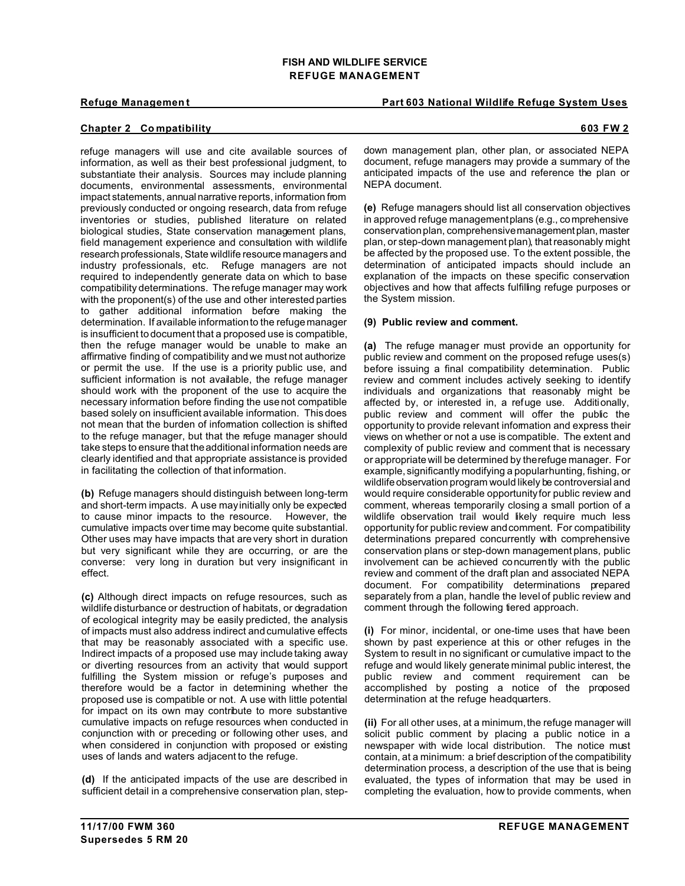# **Refuge Management Part 603 National Wildlife Refuge System Uses**

# **Chapter 2 Co mpatibility 603 FW 2**

refuge managers will use and cite available sources of information, as well as their best professional judgment, to substantiate their analysis. Sources may include planning documents, environmental assessments, environmental impact statements, annual narrative reports, information from previously conducted or ongoing research, data from refuge inventories or studies, published literature on related biological studies, State conservation management plans, field management experience and consultation with wildlife research professionals, State wildlife resource managers and industry professionals, etc. Refuge managers are not required to independently generate data on which to base compatibility determinations. The refuge manager may work with the proponent(s) of the use and other interested parties to gather additional information before making the determination. If available information to the refuge manager is insufficient to document that a proposed use is compatible, then the refuge manager would be unable to make an affirmative finding of compatibility and we must not authorize or permit the use. If the use is a priority public use, and sufficient information is not available, the refuge manager should work with the proponent of the use to acquire the necessary information before finding the use not compatible based solely on insufficient available information. This does not mean that the burden of information collection is shifted to the refuge manager, but that the refuge manager should take steps to ensure that the additional information needs are clearly identified and that appropriate assistance is provided in facilitating the collection of that information.

**(b)** Refuge managers should distinguish between long-term and short-term impacts. A use may initially only be expected to cause minor impacts to the resource. However, the cumulative impacts over time may become quite substantial. Other uses may have impacts that are very short in duration but very significant while they are occurring, or are the converse: very long in duration but very insignificant in effect.

**(c)** Although direct impacts on refuge resources, such as wildlife disturbance or destruction of habitats, or degradation of ecological integrity may be easily predicted, the analysis of impacts must also address indirect and cumulative effects that may be reasonably associated with a specific use. Indirect impacts of a proposed use may include taking away or diverting resources from an activity that would support fulfilling the System mission or refuge's purposes and therefore would be a factor in determining whether the proposed use is compatible or not. A use with little potential for impact on its own may contribute to more substantive cumulative impacts on refuge resources when conducted in conjunction with or preceding or following other uses, and when considered in conjunction with proposed or existing uses of lands and waters adjacent to the refuge.

**(d)** If the anticipated impacts of the use are described in sufficient detail in a comprehensive conservation plan, step-

down management plan, other plan, or associated NEPA document, refuge managers may provide a summary of the anticipated impacts of the use and reference the plan or NEPA document.

**(e)** Refuge managers should list all conservation objectives in approved refuge management plans (e.g., comprehensive conservation plan, comprehensive management plan, master plan, or step-down management plan), that reasonably might be affected by the proposed use. To the extent possible, the determination of anticipated impacts should include an explanation of the impacts on these specific conservation objectives and how that affects fulfilling refuge purposes or the System mission.

# **(9) Public review and comment.**

**(a)** The refuge manager must provide an opportunity for public review and comment on the proposed refuge uses(s) before issuing a final compatibility determination. Public review and comment includes actively seeking to identify individuals and organizations that reasonably might be affected by, or interested in, a refuge use. Additionally, public review and comment will offer the public the opportunity to provide relevant information and express their views on whether or not a use is compatible. The extent and complexity of public review and comment that is necessary or appropriate will be determined by the refuge manager. For example, significantly modifying a popular hunting, fishing, or wildlife observation program would likely be controversial and would require considerable opportunity for public review and comment, whereas temporarily closing a small portion of a wildlife observation trail would likely require much less opportunity for public review and comment. For compatibility determinations prepared concurrently with comprehensive conservation plans or step-down management plans, public involvement can be achieved concurrently with the public review and comment of the draft plan and associated NEPA document. For compatibility determinations prepared separately from a plan, handle the level of public review and comment through the following tiered approach.

**(i)** For minor, incidental, or one-time uses that have been shown by past experience at this or other refuges in the System to result in no significant or cumulative impact to the refuge and would likely generate minimal public interest, the public review and comment requirement can be accomplished by posting a notice of the proposed determination at the refuge headquarters.

**(ii)** For all other uses, at a minimum, the refuge manager will solicit public comment by placing a public notice in a newspaper with wide local distribution. The notice must contain, at a minimum: a brief description of the compatibility determination process, a description of the use that is being evaluated, the types of information that may be used in completing the evaluation, how to provide comments, when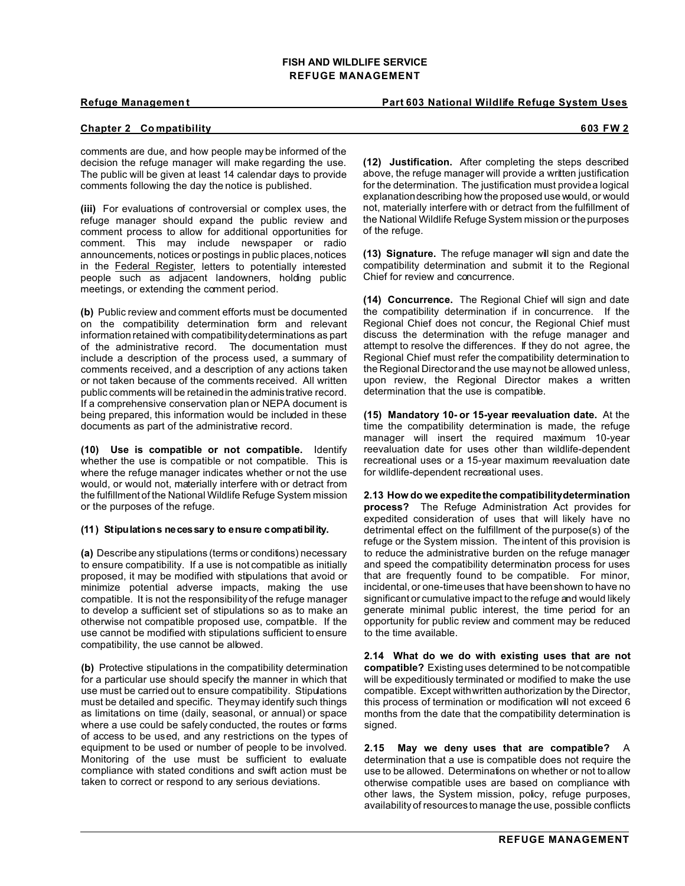**Refuge Management Part 603 National Wildlife Refuge System Uses** 

# **Chapter 2 Co mpatibility 603 FW 2**

comments are due, and how people may be informed of the decision the refuge manager will make regarding the use. The public will be given at least 14 calendar days to provide comments following the day the notice is published.

**(iii)** For evaluations of controversial or complex uses, the refuge manager should expand the public review and comment process to allow for additional opportunities for comment. This may include newspaper or radio announcements, notices or postings in public places, notices in the Federal Register, letters to potentially interested people such as adjacent landowners, holding public meetings, or extending the comment period.

**(b)** Public review and comment efforts must be documented on the compatibility determination form and relevant information retained with compatibility determinations as part of the administrative record. The documentation must include a description of the process used, a summary of comments received, and a description of any actions taken or not taken because of the comments received. All written public comments will be retained in the administrative record. If a comprehensive conservation plan or NEPA document is being prepared, this information would be included in these documents as part of the administrative record.

**(10) Use is compatible or not compatible.** Identify whether the use is compatible or not compatible. This is where the refuge manager indicates whether or not the use would, or would not, materially interfere with or detract from the fulfillment of the National Wildlife Refuge System mission or the purposes of the refuge.

#### **(11) Stipulations necessary to ensure compatibility.**

**(a)** Describe any stipulations (terms or conditions) necessary to ensure compatibility. If a use is not compatible as initially proposed, it may be modified with stipulations that avoid or minimize potential adverse impacts, making the use compatible. It is not the responsibility of the refuge manager to develop a sufficient set of stipulations so as to make an otherwise not compatible proposed use, compatible. If the use cannot be modified with stipulations sufficient to ensure compatibility, the use cannot be allowed.

**(b)** Protective stipulations in the compatibility determination for a particular use should specify the manner in which that use must be carried out to ensure compatibility. Stipulations must be detailed and specific. They may identify such things as limitations on time (daily, seasonal, or annual) or space where a use could be safely conducted, the routes or forms of access to be used, and any restrictions on the types of equipment to be used or number of people to be involved. Monitoring of the use must be sufficient to evaluate compliance with stated conditions and swift action must be taken to correct or respond to any serious deviations.

**(12) Justification.** After completing the steps described above, the refuge manager will provide a written justification for the determination. The justification must provide a logical explanationdescribing how the proposed use would, or would not, materially interfere with or detract from the fulfillment of the National Wildlife Refuge System mission or the purposes of the refuge.

**(13) Signature.** The refuge manager will sign and date the compatibility determination and submit it to the Regional Chief for review and concurrence.

**(14) Concurrence.** The Regional Chief will sign and date the compatibility determination if in concurrence. If the Regional Chief does not concur, the Regional Chief must discuss the determination with the refuge manager and attempt to resolve the differences. If they do not agree, the Regional Chief must refer the compatibility determination to the Regional Director and the use may not be allowed unless, upon review, the Regional Director makes a written determination that the use is compatible.

**(15) Mandatory 10- or 15-year reevaluation date.** At the time the compatibility determination is made, the refuge manager will insert the required maximum 10-year reevaluation date for uses other than wildlife-dependent recreational uses or a 15-year maximum reevaluation date for wildlife-dependent recreational uses.

**2.13 How do we expedite the compatibility determination process?** The Refuge Administration Act provides for expedited consideration of uses that will likely have no detrimental effect on the fulfillment of the purpose(s) of the refuge or the System mission. The intent of this provision is to reduce the administrative burden on the refuge manager and speed the compatibility determination process for uses that are frequently found to be compatible. For minor, incidental, or one-time uses that have been shown to have no significant or cumulative impact to the refuge and would likely generate minimal public interest, the time period for an opportunity for public review and comment may be reduced to the time available.

**2.14 What do we do with existing uses that are not compatible?** Existing uses determined to be not compatible will be expeditiously terminated or modified to make the use compatible. Except with written authorization by the Director, this process of termination or modification will not exceed 6 months from the date that the compatibility determination is signed.

**2.15 May we deny uses that are compatible?** A determination that a use is compatible does not require the use to be allowed. Determinations on whether or not to allow otherwise compatible uses are based on compliance with other laws, the System mission, policy, refuge purposes, availability of resources to manage the use, possible conflicts